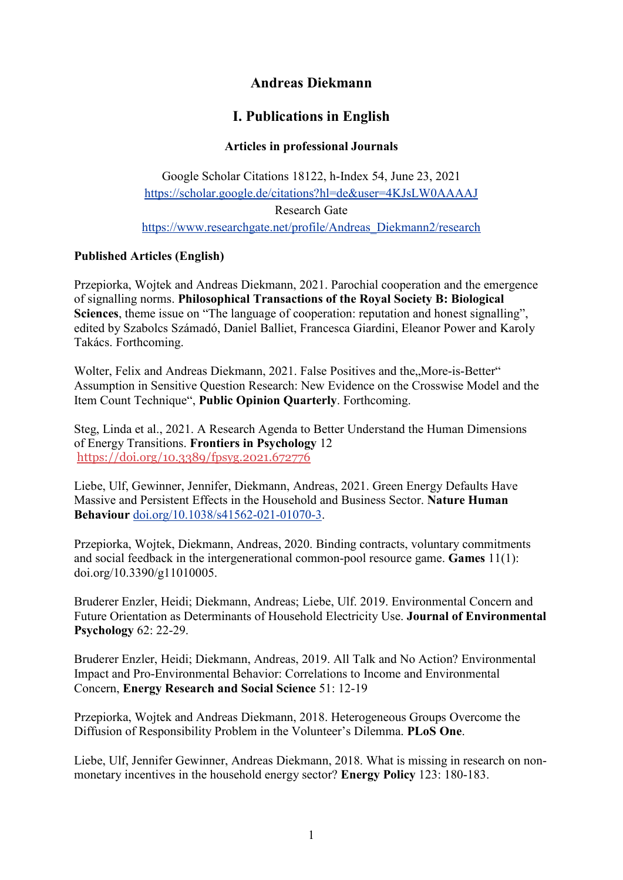# **Andreas Diekmann**

# **I. Publications in English**

## **Articles in professional Journals**

Google Scholar Citations 18122, h-Index 54, June 23, 2021 <https://scholar.google.de/citations?hl=de&user=4KJsLW0AAAAJ> Research Gate [https://www.researchgate.net/profile/Andreas\\_Diekmann2/research](https://www.researchgate.net/profile/Andreas_Diekmann2/research)

## **Published Articles (English)**

Przepiorka, Wojtek and Andreas Diekmann, 2021. Parochial cooperation and the emergence of signalling norms. **Philosophical Transactions of the Royal Society B: Biological Sciences**, theme issue on "The language of cooperation: reputation and honest signalling", edited by Szabolcs Számadó, Daniel Balliet, Francesca Giardini, Eleanor Power and Karoly Takács. Forthcoming.

Wolter, Felix and Andreas Diekmann, 2021. False Positives and the, More-is-Better" Assumption in Sensitive Question Research: New Evidence on the Crosswise Model and the Item Count Technique", **Public Opinion Quarterly**. Forthcoming.

Steg, Linda et al., 2021. A Research Agenda to Better Understand the Human Dimensions of Energy Transitions. **Frontiers in Psychology** 12 <https://doi.org/10.3389/fpsyg.2021.672776>

Liebe, Ulf, Gewinner, Jennifer, Diekmann, Andreas, 2021. Green Energy Defaults Have Massive and Persistent Effects in the Household and Business Sector. **Nature Human Behaviour** [doi.org/10.1038/s41562-021-01070-3.](https://dx.doi.org/10.1038/s41562-021-01070-3)

Przepiorka, Wojtek, Diekmann, Andreas, 2020. Binding contracts, voluntary commitments and social feedback in the intergenerational common-pool resource game. **Games** 11(1): doi.org/10.3390/g11010005.

Bruderer Enzler, Heidi; Diekmann, Andreas; Liebe, Ulf. 2019. Environmental Concern and Future Orientation as Determinants of Household Electricity Use. **Journal of Environmental Psychology** 62: 22-29.

Bruderer Enzler, Heidi; Diekmann, Andreas, 2019. All Talk and No Action? Environmental Impact and Pro-Environmental Behavior: Correlations to Income and Environmental Concern, **Energy Research and Social Science** 51: 12-19

Przepiorka, Wojtek and Andreas Diekmann, 2018. Heterogeneous Groups Overcome the Diffusion of Responsibility Problem in the Volunteer's Dilemma. **PLoS One**.

Liebe, Ulf, Jennifer Gewinner, Andreas Diekmann, 2018. What is missing in research on nonmonetary incentives in the household energy sector? **Energy Policy** 123: 180-183.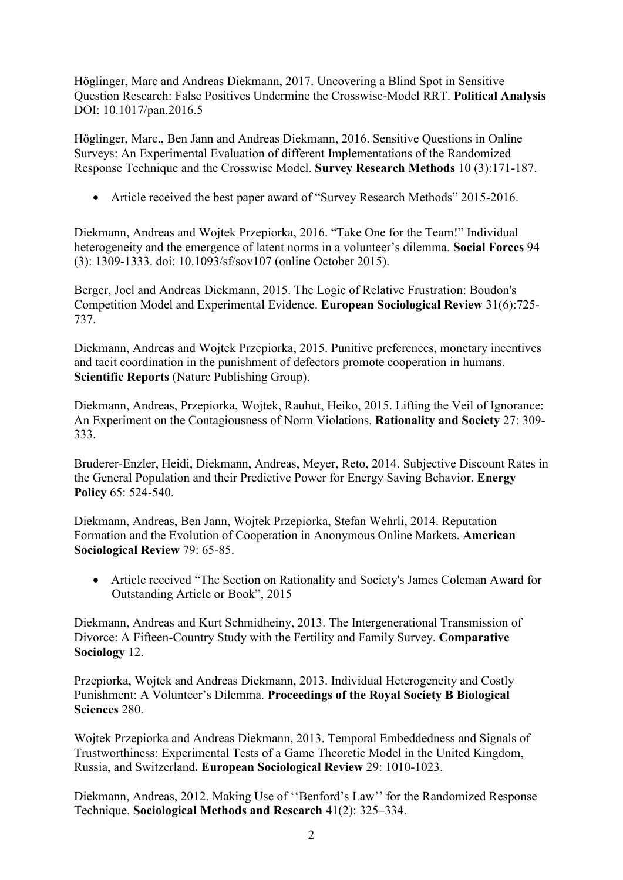Höglinger, Marc and Andreas Diekmann, 2017. Uncovering a Blind Spot in Sensitive Question Research: False Positives Undermine the Crosswise-Model RRT. **Political Analysis**  DOI: 10.1017/pan.2016.5

Höglinger, Marc., Ben Jann and Andreas Diekmann, 2016. Sensitive Questions in Online Surveys: An Experimental Evaluation of different Implementations of the Randomized Response Technique and the Crosswise Model. **Survey Research Methods** 10 (3):171-187.

• Article received the best paper award of "Survey Research Methods" 2015-2016.

Diekmann, Andreas and Wojtek Przepiorka, 2016. "Take One for the Team!" Individual heterogeneity and the emergence of latent norms in a volunteer's dilemma. **Social Forces** 94 (3): 1309-1333. doi: 10.1093/sf/sov107 (online October 2015).

Berger, Joel and Andreas Diekmann, 2015. The Logic of Relative Frustration: Boudon's Competition Model and Experimental Evidence. **European Sociological Review** 31(6):725- 737.

Diekmann, Andreas and Wojtek Przepiorka, 2015. Punitive preferences, monetary incentives and tacit coordination in the punishment of defectors promote cooperation in humans. **Scientific Reports** (Nature Publishing Group).

Diekmann, Andreas, Przepiorka, Wojtek, Rauhut, Heiko, 2015. Lifting the Veil of Ignorance: An Experiment on the Contagiousness of Norm Violations. **Rationality and Society** 27: 309- 333.

Bruderer-Enzler, Heidi, Diekmann, Andreas, Meyer, Reto, 2014. Subjective Discount Rates in the General Population and their Predictive Power for Energy Saving Behavior. **Energy Policy** 65: 524-540.

Diekmann, Andreas, Ben Jann, Wojtek Przepiorka, Stefan Wehrli, 2014. Reputation Formation and the Evolution of Cooperation in Anonymous Online Markets. **American Sociological Review** 79: 65-85.

• Article received "The Section on Rationality and Society's James Coleman Award for Outstanding Article or Book", 2015

Diekmann, Andreas and Kurt Schmidheiny, 2013. The Intergenerational Transmission of Divorce: A Fifteen-Country Study with the Fertility and Family Survey. **Comparative Sociology** 12.

Przepiorka, Wojtek and Andreas Diekmann, 2013. Individual Heterogeneity and Costly Punishment: A Volunteer's Dilemma. **Proceedings of the Royal Society B Biological Sciences** 280.

Wojtek Przepiorka and Andreas Diekmann, 2013. Temporal Embeddedness and Signals of Trustworthiness: Experimental Tests of a Game Theoretic Model in the United Kingdom, Russia, and Switzerland**. European Sociological Review** 29: 1010-1023.

Diekmann, Andreas, 2012. Making Use of ''Benford's Law'' for the Randomized Response Technique. **Sociological Methods and Research** 41(2): 325–334.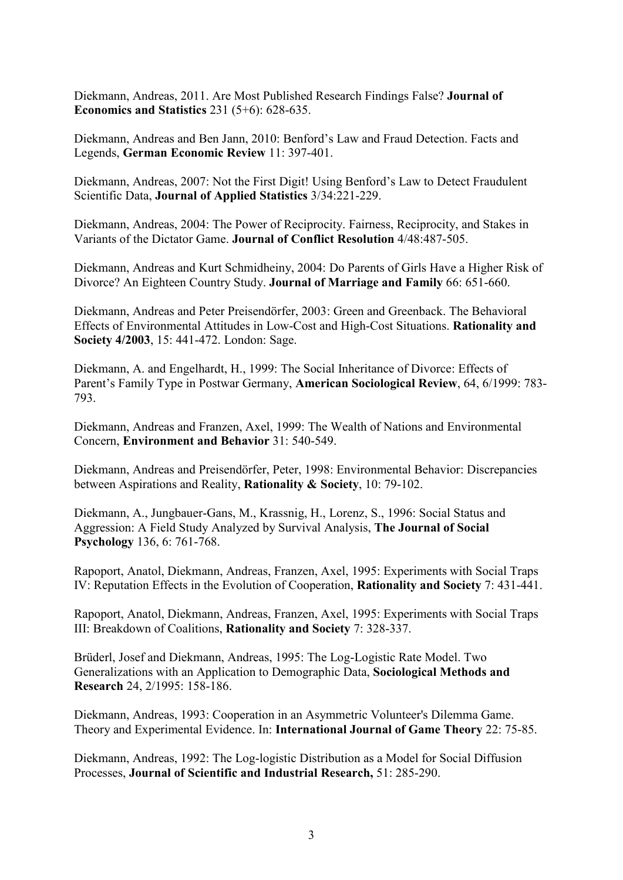Diekmann, Andreas, 2011. Are Most Published Research Findings False? **Journal of Economics and Statistics** 231 (5+6): 628-635.

Diekmann, Andreas and Ben Jann, 2010: Benford's Law and Fraud Detection. Facts and Legends, **German Economic Review** 11: 397-401.

Diekmann, Andreas, 2007: Not the First Digit! Using Benford's Law to Detect Fraudulent Scientific Data, **Journal of Applied Statistics** 3/34:221-229.

Diekmann, Andreas, 2004: The Power of Reciprocity. Fairness, Reciprocity, and Stakes in Variants of the Dictator Game. **Journal of Conflict Resolution** 4/48:487-505.

Diekmann, Andreas and Kurt Schmidheiny, 2004: Do Parents of Girls Have a Higher Risk of Divorce? An Eighteen Country Study. **Journal of Marriage and Family** 66: 651-660.

Diekmann, Andreas and Peter Preisendörfer, 2003: Green and Greenback. The Behavioral Effects of Environmental Attitudes in Low-Cost and High-Cost Situations. **Rationality and Society 4/2003**, 15: 441-472. London: Sage.

Diekmann, A. and Engelhardt, H., 1999: The Social Inheritance of Divorce: Effects of Parent's Family Type in Postwar Germany, **American Sociological Review**, 64, 6/1999: 783- 793.

Diekmann, Andreas and Franzen, Axel, 1999: The Wealth of Nations and Environmental Concern, **Environment and Behavior** 31: 540-549.

Diekmann, Andreas and Preisendörfer, Peter, 1998: Environmental Behavior: Discrepancies between Aspirations and Reality, **Rationality & Society**, 10: 79-102.

Diekmann, A., Jungbauer-Gans, M., Krassnig, H., Lorenz, S., 1996: Social Status and Aggression: A Field Study Analyzed by Survival Analysis, **The Journal of Social Psychology** 136, 6: 761-768.

Rapoport, Anatol, Diekmann, Andreas, Franzen, Axel, 1995: Experiments with Social Traps IV: Reputation Effects in the Evolution of Cooperation, **Rationality and Society** 7: 431-441.

Rapoport, Anatol, Diekmann, Andreas, Franzen, Axel, 1995: Experiments with Social Traps III: Breakdown of Coalitions, **Rationality and Society** 7: 328-337.

Brüderl, Josef and Diekmann, Andreas, 1995: The Log-Logistic Rate Model. Two Generalizations with an Application to Demographic Data, **Sociological Methods and Research** 24, 2/1995: 158-186.

Diekmann, Andreas, 1993: Cooperation in an Asymmetric Volunteer's Dilemma Game. Theory and Experimental Evidence. In: **International Journal of Game Theory** 22: 75-85.

Diekmann, Andreas, 1992: The Log-logistic Distribution as a Model for Social Diffusion Processes, **Journal of Scientific and Industrial Research,** 51: 285-290.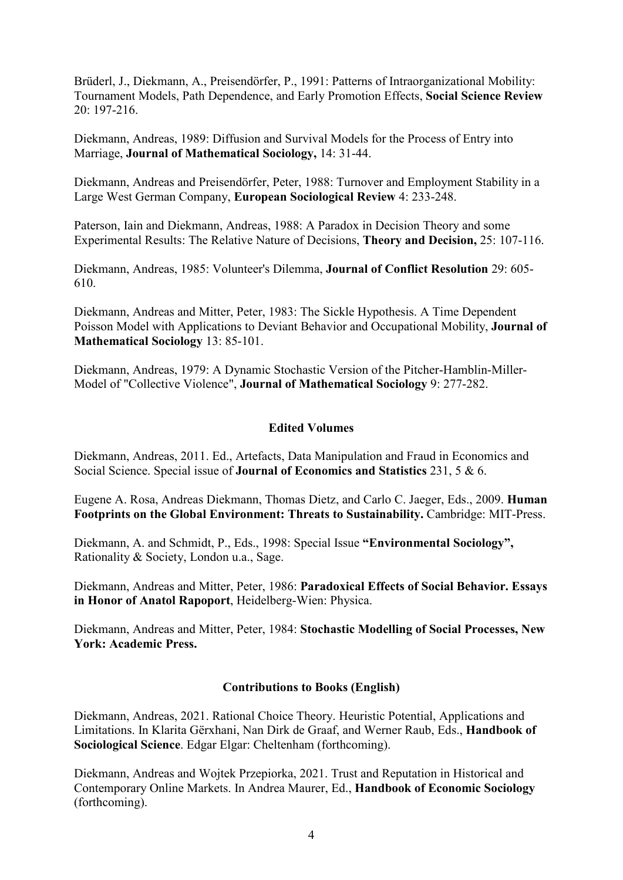Brüderl, J., Diekmann, A., Preisendörfer, P., 1991: Patterns of Intraorganizational Mobility: Tournament Models, Path Dependence, and Early Promotion Effects, **Social Science Review** 20: 197-216.

Diekmann, Andreas, 1989: Diffusion and Survival Models for the Process of Entry into Marriage, **Journal of Mathematical Sociology,** 14: 31-44.

Diekmann, Andreas and Preisendörfer, Peter, 1988: Turnover and Employment Stability in a Large West German Company, **European Sociological Review** 4: 233-248.

Paterson, Iain and Diekmann, Andreas, 1988: A Paradox in Decision Theory and some Experimental Results: The Relative Nature of Decisions, **Theory and Decision,** 25: 107-116.

Diekmann, Andreas, 1985: Volunteer's Dilemma, **Journal of Conflict Resolution** 29: 605- 610.

Diekmann, Andreas and Mitter, Peter, 1983: The Sickle Hypothesis. A Time Dependent Poisson Model with Applications to Deviant Behavior and Occupational Mobility, **Journal of Mathematical Sociology** 13: 85-101.

Diekmann, Andreas, 1979: A Dynamic Stochastic Version of the Pitcher-Hamblin-Miller-Model of "Collective Violence", **Journal of Mathematical Sociology** 9: 277-282.

### **Edited Volumes**

Diekmann, Andreas, 2011. Ed., Artefacts, Data Manipulation and Fraud in Economics and Social Science. Special issue of **Journal of Economics and Statistics** 231, 5 & 6.

Eugene A. Rosa, Andreas Diekmann, Thomas Dietz, and Carlo C. Jaeger, Eds., 2009. **[Human](http://www.amazon.com/Human-Footprints-Global-Environment-Sustainability/dp/0262512998/ref=sr_1_6?ie=UTF8&s=books&qid=1277982157&sr=8-6)  [Footprints on the Global Environment: Threats to Sustainability.](http://www.amazon.com/Human-Footprints-Global-Environment-Sustainability/dp/0262512998/ref=sr_1_6?ie=UTF8&s=books&qid=1277982157&sr=8-6)** Cambridge: MIT-Press.

Diekmann, A. and Schmidt, P., Eds., 1998: Special Issue **"Environmental Sociology",** Rationality & Society, London u.a., Sage.

Diekmann, Andreas and Mitter, Peter, 1986: **Paradoxical Effects of Social Behavior. Essays in Honor of Anatol Rapoport**, Heidelberg-Wien: Physica.

Diekmann, Andreas and Mitter, Peter, 1984: **Stochastic Modelling of Social Processes, New York: Academic Press.**

#### **Contributions to Books (English)**

Diekmann, Andreas, 2021. Rational Choice Theory. Heuristic Potential, Applications and Limitations. In Klarita Gërxhani, Nan Dirk de Graaf, and Werner Raub, Eds., **Handbook of Sociological Science**. Edgar Elgar: Cheltenham (forthcoming).

Diekmann, Andreas and Wojtek Przepiorka, 2021. Trust and Reputation in Historical and Contemporary Online Markets. In Andrea Maurer, Ed., **Handbook of Economic Sociology** (forthcoming).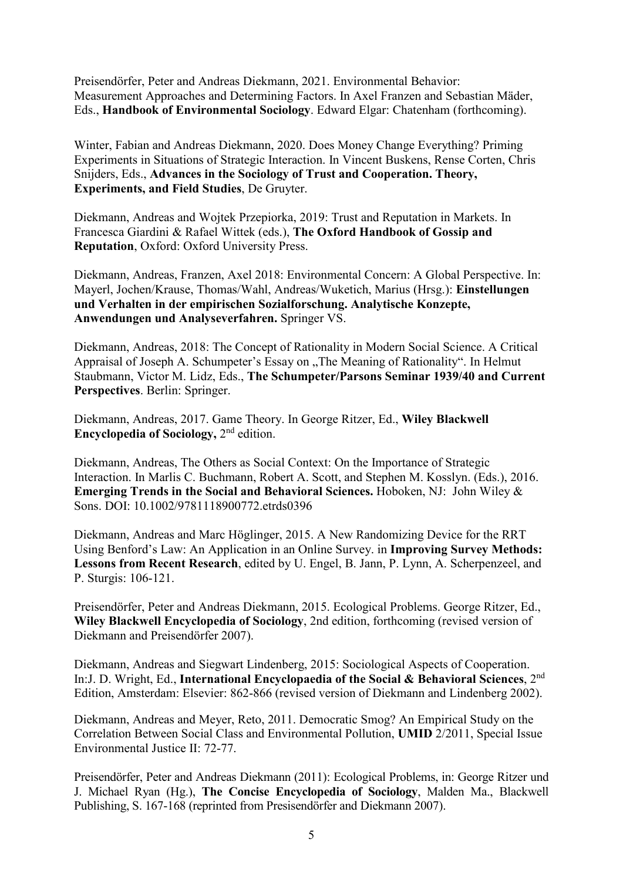Preisendörfer, Peter and Andreas Diekmann, 2021. Environmental Behavior: Measurement Approaches and Determining Factors. In Axel Franzen and Sebastian Mäder, Eds., **Handbook of Environmental Sociology**. Edward Elgar: Chatenham (forthcoming).

Winter, Fabian and Andreas Diekmann, 2020. Does Money Change Everything? Priming Experiments in Situations of Strategic Interaction. In Vincent Buskens, Rense Corten, Chris Snijders, Eds., **Advances in the Sociology of Trust and Cooperation. Theory, Experiments, and Field Studies**, De Gruyter.

Diekmann, Andreas and Wojtek Przepiorka, 2019: Trust and Reputation in Markets. In Francesca Giardini & Rafael Wittek (eds.), **The Oxford Handbook of Gossip and Reputation**, Oxford: Oxford University Press.

Diekmann, Andreas, Franzen, Axel 2018: Environmental Concern: A Global Perspective. In: Mayerl, Jochen/Krause, Thomas/Wahl, Andreas/Wuketich, Marius (Hrsg.): **Einstellungen und Verhalten in der empirischen Sozialforschung. Analytische Konzepte, Anwendungen und Analyseverfahren.** Springer VS.

Diekmann, Andreas, 2018: The Concept of Rationality in Modern Social Science. A Critical Appraisal of Joseph A. Schumpeter's Essay on "The Meaning of Rationality". In Helmut Staubmann, Victor M. Lidz, Eds., **The Schumpeter/Parsons Seminar 1939/40 and Current Perspectives**. Berlin: Springer.

Diekmann, Andreas, 2017. Game Theory. In George Ritzer, Ed., **Wiley Blackwell Encyclopedia of Sociology, 2<sup>nd</sup> edition.** 

Diekmann, Andreas, The Others as Social Context: On the Importance of Strategic Interaction. In Marlis C. Buchmann, Robert A. Scott, and Stephen M. Kosslyn. (Eds.), 2016. **Emerging Trends in the Social and Behavioral Sciences.** Hoboken, NJ: John Wiley & Sons. DOI: 10.1002/9781118900772.etrds0396

Diekmann, Andreas and Marc Höglinger, 2015. A New Randomizing Device for the RRT Using Benford's Law: An Application in an Online Survey. in **Improving Survey Methods: Lessons from Recent Research**, edited by U. Engel, B. Jann, P. Lynn, A. Scherpenzeel, and P. Sturgis: 106-121.

Preisendörfer, Peter and Andreas Diekmann, 2015. Ecological Problems. George Ritzer, Ed., **Wiley Blackwell Encyclopedia of Sociology**, 2nd edition, forthcoming (revised version of Diekmann and Preisendörfer 2007).

Diekmann, Andreas and Siegwart Lindenberg, 2015: Sociological Aspects of Cooperation. In:J. D. Wright, Ed., **International Encyclopaedia of the Social & Behavioral Sciences**, 2nd Edition, Amsterdam: Elsevier: 862-866 (revised version of Diekmann and Lindenberg 2002).

Diekmann, Andreas and Meyer, Reto, 2011. Democratic Smog? An Empirical Study on the Correlation Between Social Class and Environmental Pollution, **UMID** 2/2011, Special Issue Environmental Justice II: 72-77.

Preisendörfer, Peter and Andreas Diekmann (2011): Ecological Problems, in: George Ritzer und J. Michael Ryan (Hg.), **The Concise Encyclopedia of Sociology**, Malden Ma., Blackwell Publishing, S. 167-168 (reprinted from Presisendörfer and Diekmann 2007).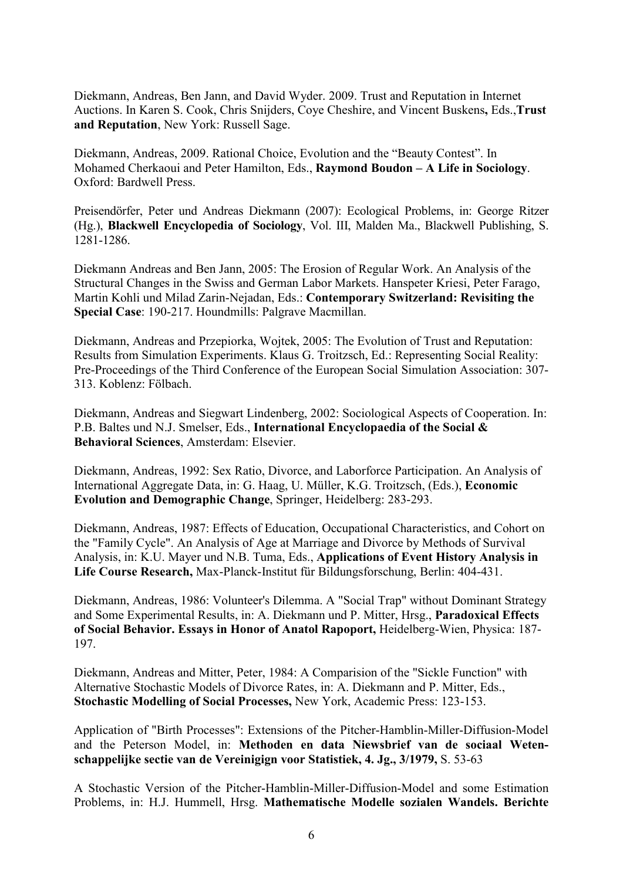Diekmann, Andreas, Ben Jann, and David Wyder. 2009. Trust and Reputation in Internet Auctions. In Karen S. Cook, Chris Snijders, Coye Cheshire, and Vincent Buskens**,** Eds.,**Trust and Reputation**, New York: Russell Sage.

Diekmann, Andreas, 2009. Rational Choice, Evolution and the "Beauty Contest". In Mohamed Cherkaoui and Peter Hamilton, Eds., **Raymond Boudon – A Life in Sociology**. Oxford: Bardwell Press.

Preisendörfer, Peter und Andreas Diekmann (2007): Ecological Problems, in: George Ritzer (Hg.), **Blackwell Encyclopedia of Sociology**, Vol. III, Malden Ma., Blackwell Publishing, S. 1281-1286.

Diekmann Andreas and Ben Jann, 2005: The Erosion of Regular Work. An Analysis of the Structural Changes in the Swiss and German Labor Markets. Hanspeter Kriesi, Peter Farago, Martin Kohli und Milad Zarin-Nejadan, Eds.: **Contemporary Switzerland: Revisiting the Special Case**: 190-217. Houndmills: Palgrave Macmillan.

Diekmann, Andreas and Przepiorka, Wojtek, 2005: The Evolution of Trust and Reputation: Results from Simulation Experiments. Klaus G. Troitzsch, Ed.: Representing Social Reality: Pre-Proceedings of the Third Conference of the European Social Simulation Association: 307- 313. Koblenz: Fölbach.

Diekmann, Andreas and Siegwart Lindenberg, 2002: Sociological Aspects of Cooperation. In: P.B. Baltes und N.J. Smelser, Eds., **International Encyclopaedia of the Social & Behavioral Sciences**, Amsterdam: Elsevier.

Diekmann, Andreas, 1992: Sex Ratio, Divorce, and Laborforce Participation. An Analysis of International Aggregate Data, in: G. Haag, U. Müller, K.G. Troitzsch, (Eds.), **Economic Evolution and Demographic Change**, Springer, Heidelberg: 283-293.

Diekmann, Andreas, 1987: Effects of Education, Occupational Characteristics, and Cohort on the "Family Cycle". An Analysis of Age at Marriage and Divorce by Methods of Survival Analysis, in: K.U. Mayer und N.B. Tuma, Eds., **Applications of Event History Analysis in Life Course Research,** Max-Planck-Institut für Bildungsforschung, Berlin: 404-431.

Diekmann, Andreas, 1986: Volunteer's Dilemma. A "Social Trap" without Dominant Strategy and Some Experimental Results, in: A. Diekmann und P. Mitter, Hrsg., **Paradoxical Effects of Social Behavior. Essays in Honor of Anatol Rapoport,** Heidelberg-Wien, Physica: 187- 197.

Diekmann, Andreas and Mitter, Peter, 1984: A Comparision of the "Sickle Function" with Alternative Stochastic Models of Divorce Rates, in: A. Diekmann and P. Mitter, Eds., **Stochastic Modelling of Social Processes,** New York, Academic Press: 123-153.

Application of "Birth Processes": Extensions of the Pitcher-Hamblin-Miller-Diffusion-Model and the Peterson Model, in: **Methoden en data Niewsbrief van de sociaal Wetenschappelijke sectie van de Vereinigign voor Statistiek, 4. Jg., 3/1979,** S. 53-63

A Stochastic Version of the Pitcher-Hamblin-Miller-Diffusion-Model and some Estimation Problems, in: H.J. Hummell, Hrsg. **Mathematische Modelle sozialen Wandels. Berichte**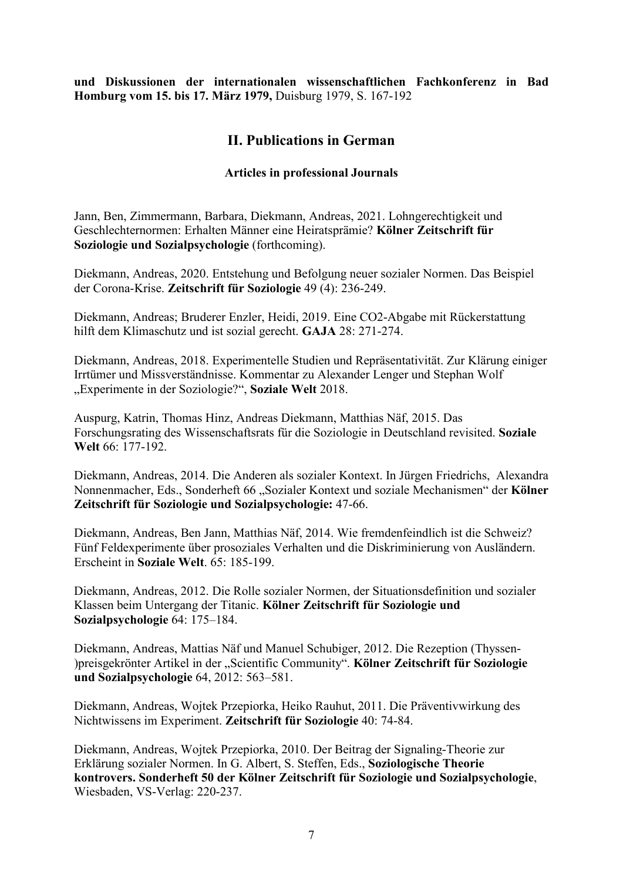**und Diskussionen der internationalen wissenschaftlichen Fachkonferenz in Bad Homburg vom 15. bis 17. März 1979,** Duisburg 1979, S. 167-192

## **II. Publications in German**

### **Articles in professional Journals**

Jann, Ben, Zimmermann, Barbara, Diekmann, Andreas, 2021. Lohngerechtigkeit und Geschlechternormen: Erhalten Männer eine Heiratsprämie? **Kölner Zeitschrift für Soziologie und Sozialpsychologie** (forthcoming).

Diekmann, Andreas, 2020. Entstehung und Befolgung neuer sozialer Normen. Das Beispiel der Corona-Krise. **Zeitschrift für Soziologie** 49 (4): 236-249.

Diekmann, Andreas; Bruderer Enzler, Heidi, 2019. Eine CO2-Abgabe mit Rückerstattung hilft dem Klimaschutz und ist sozial gerecht. **GAJA** 28: 271-274.

Diekmann, Andreas, 2018. Experimentelle Studien und Repräsentativität. Zur Klärung einiger Irrtümer und Missverständnisse. Kommentar zu Alexander Lenger und Stephan Wolf "Experimente in der Soziologie?", **Soziale Welt** 2018.

Auspurg, Katrin, Thomas Hinz, Andreas Diekmann, Matthias Näf, 2015. Das Forschungsrating des Wissenschaftsrats für die Soziologie in Deutschland revisited. **Soziale Welt** 66: 177-192.

Diekmann, Andreas, 2014. Die Anderen als sozialer Kontext. In Jürgen Friedrichs, Alexandra Nonnenmacher, Eds., Sonderheft 66 "Sozialer Kontext und soziale Mechanismen" der Kölner **Zeitschrift für Soziologie und Sozialpsychologie:** 47-66.

Diekmann, Andreas, Ben Jann, Matthias Näf, 2014. Wie fremdenfeindlich ist die Schweiz? Fünf Feldexperimente über prosoziales Verhalten und die Diskriminierung von Ausländern. Erscheint in **Soziale Welt**. 65: 185-199.

Diekmann, Andreas, 2012. Die Rolle sozialer Normen, der Situationsdefinition und sozialer Klassen beim Untergang der Titanic. **Kölner Zeitschrift für Soziologie und Sozialpsychologie** 64: 175–184.

Diekmann, Andreas, Mattias Näf und Manuel Schubiger, 2012. Die Rezeption (Thyssen- )preisgekrönter Artikel in der "Scientific Community". **Kölner Zeitschrift für Soziologie und Sozialpsychologie** 64, 2012: 563–581.

Diekmann, Andreas, Wojtek Przepiorka, Heiko Rauhut, 2011. Die Präventivwirkung des Nichtwissens im Experiment. **Zeitschrift für Soziologie** 40: 74-84.

Diekmann, Andreas, Wojtek Przepiorka, 2010. Der Beitrag der Signaling-Theorie zur Erklärung sozialer Normen. In G. Albert, S. Steffen, Eds., **Soziologische Theorie kontrovers. Sonderheft 50 der Kölner Zeitschrift für Soziologie und Sozialpsychologie**, Wiesbaden, VS-Verlag: 220-237.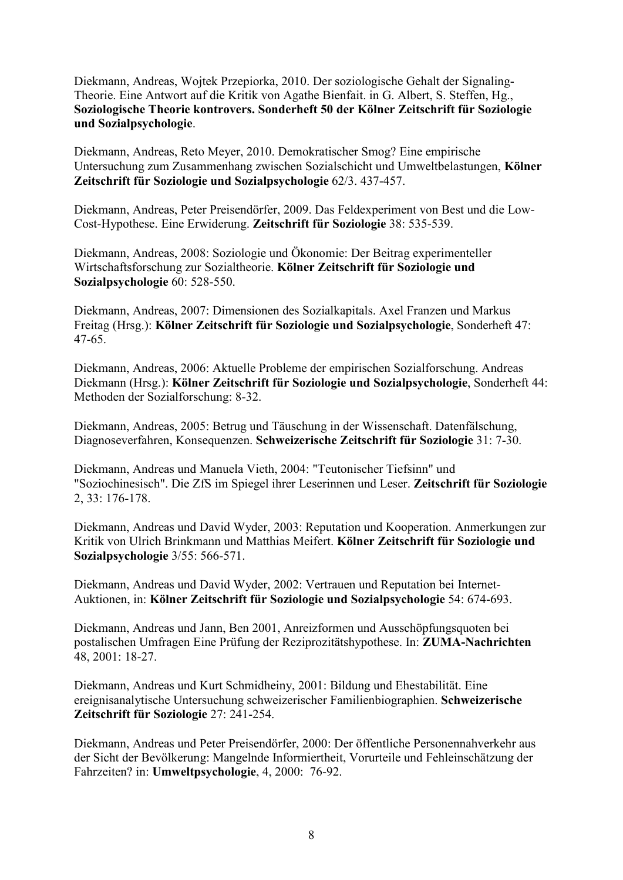Diekmann, Andreas, Wojtek Przepiorka, 2010. Der soziologische Gehalt der Signaling-Theorie. Eine Antwort auf die Kritik von Agathe Bienfait. in G. Albert, S. Steffen, Hg., **Soziologische Theorie kontrovers. Sonderheft 50 der Kölner Zeitschrift für Soziologie und Sozialpsychologie**.

Diekmann, Andreas, Reto Meyer, 2010. Demokratischer Smog? Eine empirische Untersuchung zum Zusammenhang zwischen Sozialschicht und Umweltbelastungen, **Kölner Zeitschrift für Soziologie und Sozialpsychologie** 62/3. 437-457.

Diekmann, Andreas, Peter Preisendörfer, 2009. Das Feldexperiment von Best und die Low-Cost-Hypothese. Eine Erwiderung. **Zeitschrift für Soziologie** 38: 535-539.

Diekmann, Andreas, 2008: Soziologie und Ökonomie: Der Beitrag experimenteller Wirtschaftsforschung zur Sozialtheorie. **Kölner Zeitschrift für Soziologie und Sozialpsychologie** 60: 528-550.

Diekmann, Andreas, 2007: Dimensionen des Sozialkapitals. Axel Franzen und Markus Freitag (Hrsg.): **Kölner Zeitschrift für Soziologie und Sozialpsychologie**, Sonderheft 47: 47-65.

Diekmann, Andreas, 2006: Aktuelle Probleme der empirischen Sozialforschung. Andreas Diekmann (Hrsg.): **Kölner Zeitschrift für Soziologie und Sozialpsychologie**, Sonderheft 44: Methoden der Sozialforschung: 8-32.

Diekmann, Andreas, 2005: Betrug und Täuschung in der Wissenschaft. Datenfälschung, Diagnoseverfahren, Konsequenzen. **Schweizerische Zeitschrift für Soziologie** 31: 7-30.

Diekmann, Andreas und Manuela Vieth, 2004: "Teutonischer Tiefsinn" und "Soziochinesisch". Die ZfS im Spiegel ihrer Leserinnen und Leser. **Zeitschrift für Soziologie** 2, 33: 176-178.

Diekmann, Andreas und David Wyder, 2003: Reputation und Kooperation. Anmerkungen zur Kritik von Ulrich Brinkmann und Matthias Meifert. **Kölner Zeitschrift für Soziologie und Sozialpsychologie** 3/55: 566-571.

Diekmann, Andreas und David Wyder, 2002: Vertrauen und Reputation bei Internet-Auktionen, in: **Kölner Zeitschrift für Soziologie und Sozialpsychologie** 54: 674-693.

Diekmann, Andreas und Jann, Ben 2001, Anreizformen und Ausschöpfungsquoten bei postalischen Umfragen Eine Prüfung der Reziprozitätshypothese. In: **ZUMA-Nachrichten** 48, 2001: 18-27.

Diekmann, Andreas und Kurt Schmidheiny, 2001: Bildung und Ehestabilität. Eine ereignisanalytische Untersuchung schweizerischer Familienbiographien. **Schweizerische Zeitschrift für Soziologie** 27: 241-254.

Diekmann, Andreas und Peter Preisendörfer, 2000: Der öffentliche Personennahverkehr aus der Sicht der Bevölkerung: Mangelnde Informiertheit, Vorurteile und Fehleinschätzung der Fahrzeiten? in: **Umweltpsychologie**, 4, 2000: 76-92.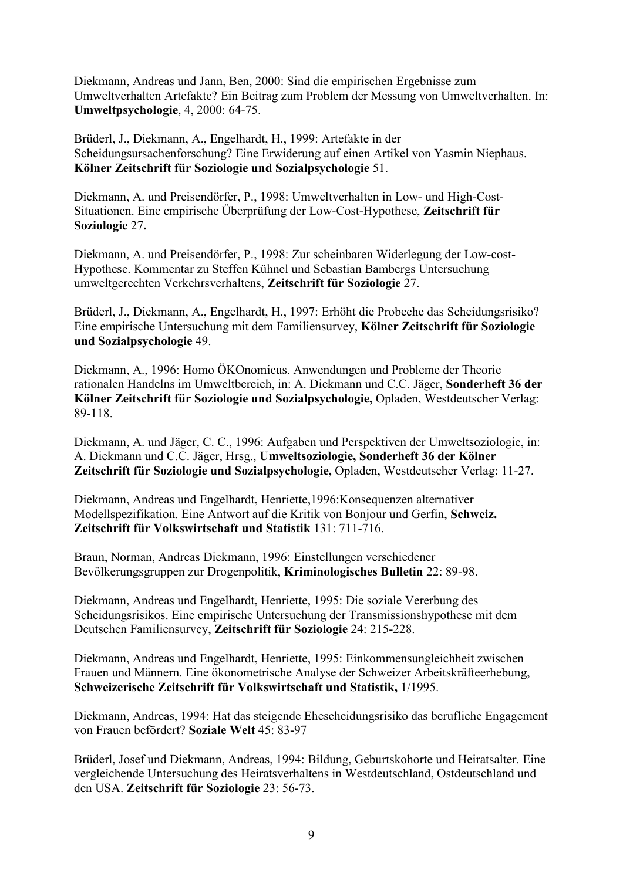Diekmann, Andreas und Jann, Ben, 2000: Sind die empirischen Ergebnisse zum Umweltverhalten Artefakte? Ein Beitrag zum Problem der Messung von Umweltverhalten. In: **Umweltpsychologie**, 4, 2000: 64-75.

Brüderl, J., Diekmann, A., Engelhardt, H., 1999: Artefakte in der Scheidungsursachenforschung? Eine Erwiderung auf einen Artikel von Yasmin Niephaus. **Kölner Zeitschrift für Soziologie und Sozialpsychologie** 51.

Diekmann, A. und Preisendörfer, P., 1998: Umweltverhalten in Low- und High-Cost-Situationen. Eine empirische Überprüfung der Low-Cost-Hypothese, **Zeitschrift für Soziologie** 27**.**

Diekmann, A. und Preisendörfer, P., 1998: Zur scheinbaren Widerlegung der Low-cost-Hypothese. Kommentar zu Steffen Kühnel und Sebastian Bambergs Untersuchung umweltgerechten Verkehrsverhaltens, **Zeitschrift für Soziologie** 27.

Brüderl, J., Diekmann, A., Engelhardt, H., 1997: Erhöht die Probeehe das Scheidungsrisiko? Eine empirische Untersuchung mit dem Familiensurvey, **Kölner Zeitschrift für Soziologie und Sozialpsychologie** 49.

Diekmann, A., 1996: Homo ÖKOnomicus. Anwendungen und Probleme der Theorie rationalen Handelns im Umweltbereich, in: A. Diekmann und C.C. Jäger, **Sonderheft 36 der Kölner Zeitschrift für Soziologie und Sozialpsychologie,** Opladen, Westdeutscher Verlag: 89-118.

Diekmann, A. und Jäger, C. C., 1996: Aufgaben und Perspektiven der Umweltsoziologie, in: A. Diekmann und C.C. Jäger, Hrsg., **Umweltsoziologie, Sonderheft 36 der Kölner Zeitschrift für Soziologie und Sozialpsychologie,** Opladen, Westdeutscher Verlag: 11-27.

Diekmann, Andreas und Engelhardt, Henriette,1996:Konsequenzen alternativer Modellspezifikation. Eine Antwort auf die Kritik von Bonjour und Gerfin, **Schweiz. Zeitschrift für Volkswirtschaft und Statistik** 131: 711-716.

Braun, Norman, Andreas Diekmann, 1996: Einstellungen verschiedener Bevölkerungsgruppen zur Drogenpolitik, **Kriminologisches Bulletin** 22: 89-98.

Diekmann, Andreas und Engelhardt, Henriette, 1995: Die soziale Vererbung des Scheidungsrisikos. Eine empirische Untersuchung der Transmissionshypothese mit dem Deutschen Familiensurvey, **Zeitschrift für Soziologie** 24: 215-228.

Diekmann, Andreas und Engelhardt, Henriette, 1995: Einkommensungleichheit zwischen Frauen und Männern. Eine ökonometrische Analyse der Schweizer Arbeitskräfteerhebung, **Schweizerische Zeitschrift für Volkswirtschaft und Statistik,** 1/1995.

Diekmann, Andreas, 1994: Hat das steigende Ehescheidungsrisiko das berufliche Engagement von Frauen befördert? **Soziale Welt** 45: 83-97

Brüderl, Josef und Diekmann, Andreas, 1994: Bildung, Geburtskohorte und Heiratsalter. Eine vergleichende Untersuchung des Heiratsverhaltens in Westdeutschland, Ostdeutschland und den USA. **Zeitschrift für Soziologie** 23: 56-73.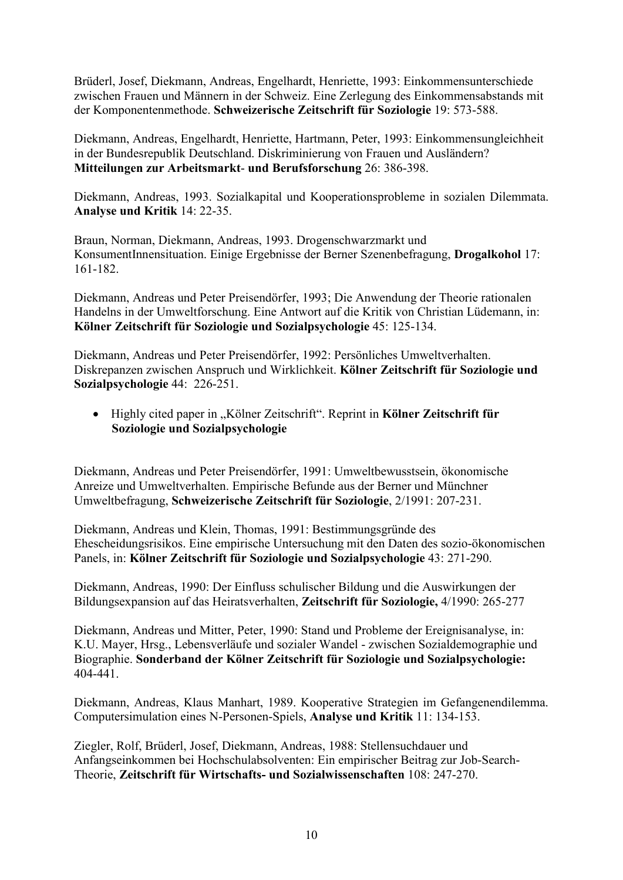Brüderl, Josef, Diekmann, Andreas, Engelhardt, Henriette, 1993: Einkommensunterschiede zwischen Frauen und Männern in der Schweiz. Eine Zerlegung des Einkommensabstands mit der Komponentenmethode. **Schweizerische Zeitschrift für Soziologie** 19: 573-588.

Diekmann, Andreas, Engelhardt, Henriette, Hartmann, Peter, 1993: Einkommensungleichheit in der Bundesrepublik Deutschland. Diskriminierung von Frauen und Ausländern? **Mitteilungen zur Arbeitsmarkt**- **und Berufsforschung** 26: 386-398.

Diekmann, Andreas, 1993. Sozialkapital und Kooperationsprobleme in sozialen Dilemmata. **Analyse und Kritik** 14: 22-35.

Braun, Norman, Diekmann, Andreas, 1993. Drogenschwarzmarkt und KonsumentInnensituation. Einige Ergebnisse der Berner Szenenbefragung, **Drogalkohol** 17: 161-182.

Diekmann, Andreas und Peter Preisendörfer, 1993; Die Anwendung der Theorie rationalen Handelns in der Umweltforschung. Eine Antwort auf die Kritik von Christian Lüdemann, in: **Kölner Zeitschrift für Soziologie und Sozialpsychologie** 45: 125-134.

Diekmann, Andreas und Peter Preisendörfer, 1992: Persönliches Umweltverhalten. Diskrepanzen zwischen Anspruch und Wirklichkeit. **Kölner Zeitschrift für Soziologie und Sozialpsychologie** 44: 226-251.

• Highly cited paper in "Kölner Zeitschrift". Reprint in **Kölner Zeitschrift für Soziologie und Sozialpsychologie**

Diekmann, Andreas und Peter Preisendörfer, 1991: Umweltbewusstsein, ökonomische Anreize und Umweltverhalten. Empirische Befunde aus der Berner und Münchner Umweltbefragung, **Schweizerische Zeitschrift für Soziologie**, 2/1991: 207-231.

Diekmann, Andreas und Klein, Thomas, 1991: Bestimmungsgründe des Ehescheidungsrisikos. Eine empirische Untersuchung mit den Daten des sozio-ökonomischen Panels, in: **Kölner Zeitschrift für Soziologie und Sozialpsychologie** 43: 271-290.

Diekmann, Andreas, 1990: Der Einfluss schulischer Bildung und die Auswirkungen der Bildungsexpansion auf das Heiratsverhalten, **Zeitschrift für Soziologie,** 4/1990: 265-277

Diekmann, Andreas und Mitter, Peter, 1990: Stand und Probleme der Ereignisanalyse, in: K.U. Mayer, Hrsg., Lebensverläufe und sozialer Wandel - zwischen Sozialdemographie und Biographie. **Sonderband der Kölner Zeitschrift für Soziologie und Sozialpsychologie:**  404-441.

Diekmann, Andreas, Klaus Manhart, 1989. Kooperative Strategien im Gefangenendilemma. Computersimulation eines N-Personen-Spiels, **Analyse und Kritik** 11: 134-153.

Ziegler, Rolf, Brüderl, Josef, Diekmann, Andreas, 1988: Stellensuchdauer und Anfangseinkommen bei Hochschulabsolventen: Ein empirischer Beitrag zur Job-Search-Theorie, **Zeitschrift für Wirtschafts- und Sozialwissenschaften** 108: 247-270.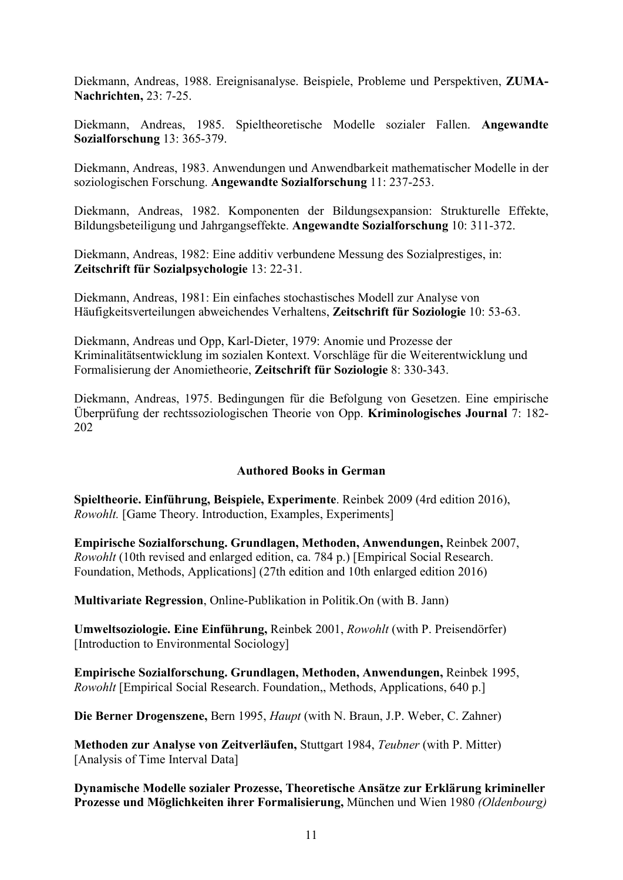Diekmann, Andreas, 1988. Ereignisanalyse. Beispiele, Probleme und Perspektiven, **ZUMA-Nachrichten,** 23: 7-25.

Diekmann, Andreas, 1985. Spieltheoretische Modelle sozialer Fallen. **Angewandte Sozialforschung** 13: 365-379.

Diekmann, Andreas, 1983. Anwendungen und Anwendbarkeit mathematischer Modelle in der soziologischen Forschung. **Angewandte Sozialforschung** 11: 237-253.

Diekmann, Andreas, 1982. Komponenten der Bildungsexpansion: Strukturelle Effekte, Bildungsbeteiligung und Jahrgangseffekte. **Angewandte Sozialforschung** 10: 311-372.

Diekmann, Andreas, 1982: Eine additiv verbundene Messung des Sozialprestiges, in: **Zeitschrift für Sozialpsychologie** 13: 22-31.

Diekmann, Andreas, 1981: Ein einfaches stochastisches Modell zur Analyse von Häufigkeitsverteilungen abweichendes Verhaltens, **Zeitschrift für Soziologie** 10: 53-63.

Diekmann, Andreas und Opp, Karl-Dieter, 1979: Anomie und Prozesse der Kriminalitätsentwicklung im sozialen Kontext. Vorschläge für die Weiterentwicklung und Formalisierung der Anomietheorie, **Zeitschrift für Soziologie** 8: 330-343.

Diekmann, Andreas, 1975. Bedingungen für die Befolgung von Gesetzen. Eine empirische Überprüfung der rechtssoziologischen Theorie von Opp. **Kriminologisches Journal** 7: 182- 202

#### **Authored Books in German**

**Spieltheorie. Einführung, Beispiele, Experimente**. Reinbek 2009 (4rd edition 2016), *Rowohlt.* [Game Theory. Introduction, Examples, Experiments]

**Empirische Sozialforschung. Grundlagen, Methoden, Anwendungen,** Reinbek 2007, *Rowohlt* (10th revised and enlarged edition, ca. 784 p.) [Empirical Social Research. Foundation, Methods, Applications] (27th edition and 10th enlarged edition 2016)

**Multivariate Regression**, Online-Publikation in Politik.On (with B. Jann)

**Umweltsoziologie. Eine Einführung,** Reinbek 2001, *Rowohlt* (with P. Preisendörfer) [Introduction to Environmental Sociology]

**Empirische Sozialforschung. Grundlagen, Methoden, Anwendungen,** Reinbek 1995, *Rowohlt* [Empirical Social Research. Foundation,, Methods, Applications, 640 p.]

**Die Berner Drogenszene,** Bern 1995, *Haupt* (with N. Braun, J.P. Weber, C. Zahner)

**Methoden zur Analyse von Zeitverläufen,** Stuttgart 1984, *Teubner* (with P. Mitter) [Analysis of Time Interval Data]

**Dynamische Modelle sozialer Prozesse, Theoretische Ansätze zur Erklärung krimineller Prozesse und Möglichkeiten ihrer Formalisierung,** München und Wien 1980 *(Oldenbourg)*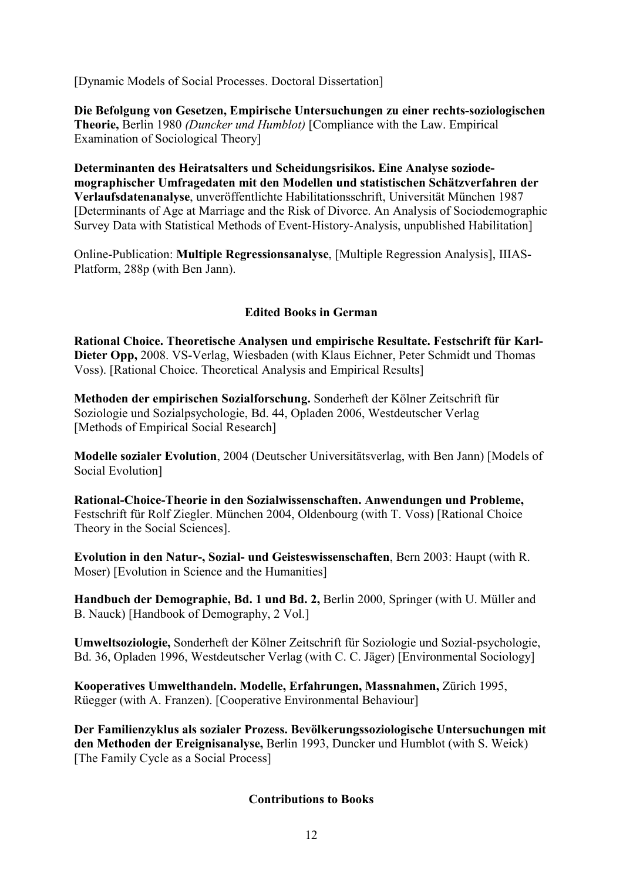[Dynamic Models of Social Processes. Doctoral Dissertation]

**Die Befolgung von Gesetzen, Empirische Untersuchungen zu einer rechts-soziologischen Theorie,** Berlin 1980 *(Duncker und Humblot)* [Compliance with the Law. Empirical Examination of Sociological Theory]

**Determinanten des Heiratsalters und Scheidungsrisikos. Eine Analyse soziodemographischer Umfragedaten mit den Modellen und statistischen Schätzverfahren der Verlaufsdatenanalyse**, unveröffentlichte Habilitationsschrift, Universität München 1987 [Determinants of Age at Marriage and the Risk of Divorce. An Analysis of Sociodemographic Survey Data with Statistical Methods of Event-History-Analysis, unpublished Habilitation]

Online-Publication: **Multiple Regressionsanalyse**, [Multiple Regression Analysis], IIIAS-Platform, 288p (with Ben Jann).

### **Edited Books in German**

**Rational Choice. Theoretische Analysen und empirische Resultate. Festschrift für Karl-Dieter Opp,** 2008. VS-Verlag, Wiesbaden (with Klaus Eichner, Peter Schmidt und Thomas Voss). [Rational Choice. Theoretical Analysis and Empirical Results]

**Methoden der empirischen Sozialforschung.** Sonderheft der Kölner Zeitschrift für Soziologie und Sozialpsychologie, Bd. 44, Opladen 2006, Westdeutscher Verlag [Methods of Empirical Social Research]

**Modelle sozialer Evolution**, 2004 (Deutscher Universitätsverlag, with Ben Jann) [Models of Social Evolution]

**Rational-Choice-Theorie in den Sozialwissenschaften. Anwendungen und Probleme,** Festschrift für Rolf Ziegler. München 2004, Oldenbourg (with T. Voss) [Rational Choice Theory in the Social Sciences].

**Evolution in den Natur-, Sozial- und Geisteswissenschaften**, Bern 2003: Haupt (with R. Moser) [Evolution in Science and the Humanities]

**Handbuch der Demographie, Bd. 1 und Bd. 2,** Berlin 2000, Springer (with U. Müller and B. Nauck) [Handbook of Demography, 2 Vol.]

**Umweltsoziologie,** Sonderheft der Kölner Zeitschrift für Soziologie und Sozial-psychologie, Bd. 36, Opladen 1996, Westdeutscher Verlag (with C. C. Jäger) [Environmental Sociology]

**Kooperatives Umwelthandeln. Modelle, Erfahrungen, Massnahmen,** Zürich 1995, Rüegger (with A. Franzen). [Cooperative Environmental Behaviour]

**Der Familienzyklus als sozialer Prozess. Bevölkerungssoziologische Untersuchungen mit den Methoden der Ereignisanalyse,** Berlin 1993, Duncker und Humblot (with S. Weick) [The Family Cycle as a Social Process]

## **Contributions to Books**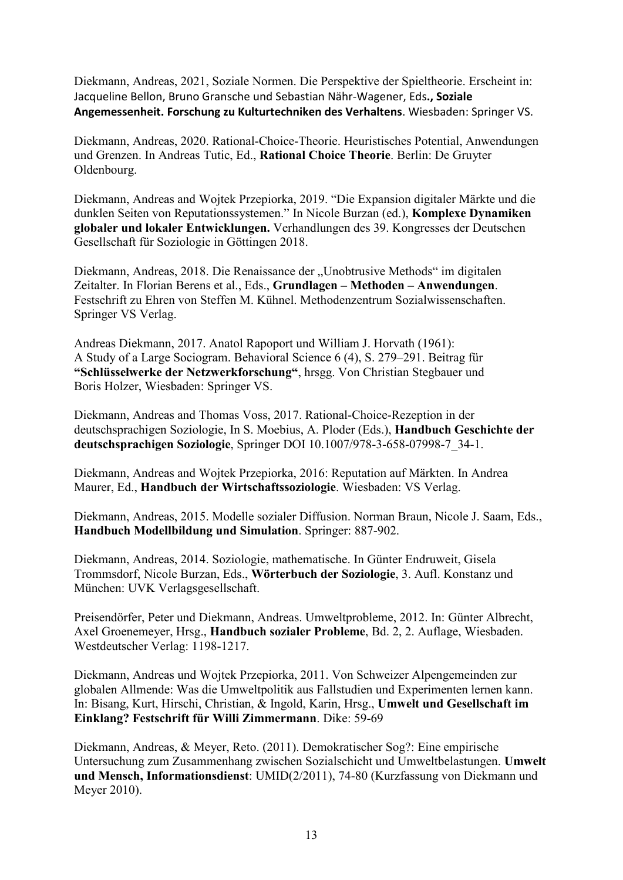Diekmann, Andreas, 2021, Soziale Normen. Die Perspektive der Spieltheorie. Erscheint in: Jacqueline Bellon, Bruno Gransche und Sebastian Nähr-Wagener, Eds**., Soziale Angemessenheit. Forschung zu Kulturtechniken des Verhaltens**. Wiesbaden: Springer VS.

Diekmann, Andreas, 2020. Rational-Choice-Theorie. Heuristisches Potential, Anwendungen und Grenzen. In Andreas Tutic, Ed., **Rational Choice Theorie**. Berlin: De Gruyter Oldenbourg.

Diekmann, Andreas and Wojtek Przepiorka, 2019. "Die Expansion digitaler Märkte und die dunklen Seiten von Reputationssystemen." In Nicole Burzan (ed.), **Komplexe Dynamiken globaler und lokaler Entwicklungen.** Verhandlungen des 39. Kongresses der Deutschen Gesellschaft für Soziologie in Göttingen 2018.

Diekmann, Andreas, 2018. Die Renaissance der "Unobtrusive Methods" im digitalen Zeitalter. In Florian Berens et al., Eds., **Grundlagen – Methoden – Anwendungen**. Festschrift zu Ehren von Steffen M. Kühnel. Methodenzentrum Sozialwissenschaften. Springer VS Verlag.

Andreas Diekmann, 2017. Anatol Rapoport und William J. Horvath (1961): A Study of a Large Sociogram. Behavioral Science 6 (4), S. 279–291. Beitrag für **"Schlüsselwerke der Netzwerkforschung"**, hrsgg. Von Christian Stegbauer und Boris Holzer, Wiesbaden: Springer VS.

Diekmann, Andreas and Thomas Voss, 2017. Rational-Choice-Rezeption in der deutschsprachigen Soziologie, In S. Moebius, A. Ploder (Eds.), **Handbuch Geschichte der deutschsprachigen Soziologie**, Springer DOI 10.1007/978-3-658-07998-7\_34-1.

Diekmann, Andreas and Wojtek Przepiorka, 2016: Reputation auf Märkten. In Andrea Maurer, Ed., **Handbuch der Wirtschaftssoziologie**. Wiesbaden: VS Verlag.

Diekmann, Andreas, 2015. Modelle sozialer Diffusion. Norman Braun, Nicole J. Saam, Eds., **Handbuch Modellbildung und Simulation**. Springer: 887-902.

Diekmann, Andreas, 2014. Soziologie, mathematische. In Günter Endruweit, Gisela Trommsdorf, Nicole Burzan, Eds., **Wörterbuch der Soziologie**, 3. Aufl. Konstanz und München: UVK Verlagsgesellschaft.

Preisendörfer, Peter und Diekmann, Andreas. Umweltprobleme, 2012. In: Günter Albrecht, Axel Groenemeyer, Hrsg., **Handbuch sozialer Probleme**, Bd. 2, 2. Auflage, Wiesbaden. Westdeutscher Verlag: 1198-1217.

Diekmann, Andreas und Wojtek Przepiorka, 2011. Von Schweizer Alpengemeinden zur globalen Allmende: Was die Umweltpolitik aus Fallstudien und Experimenten lernen kann. In: Bisang, Kurt, Hirschi, Christian, & Ingold, Karin, Hrsg., **Umwelt und Gesellschaft im Einklang? Festschrift für Willi Zimmermann**. Dike: 59-69

Diekmann, Andreas, & Meyer, Reto. (2011). Demokratischer Sog?: Eine empirische Untersuchung zum Zusammenhang zwischen Sozialschicht und Umweltbelastungen. **Umwelt und Mensch, Informationsdienst**: UMID(2/2011), 74-80 (Kurzfassung von Diekmann und Meyer 2010).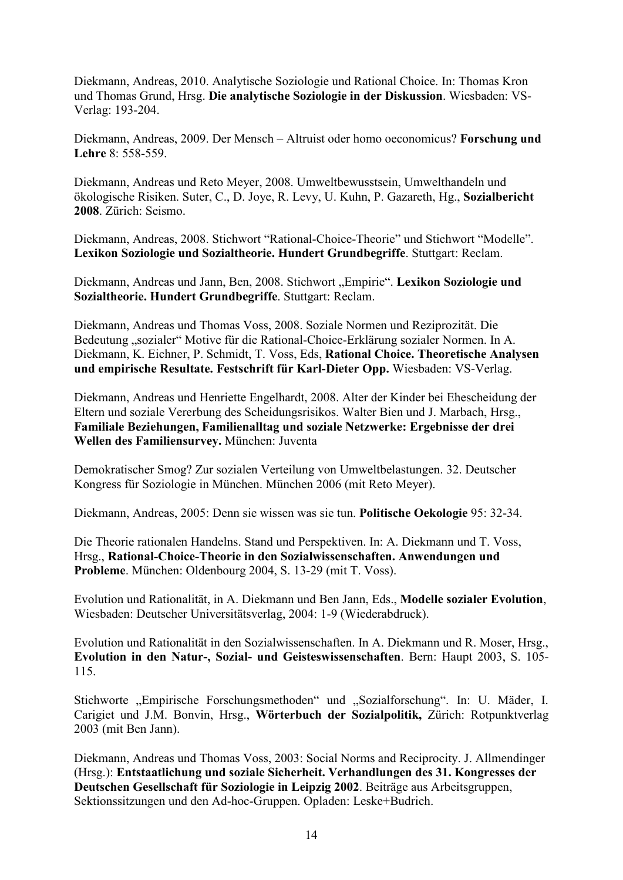Diekmann, Andreas, 2010. Analytische Soziologie und Rational Choice. In: Thomas Kron und Thomas Grund, Hrsg. **Die analytische Soziologie in der Diskussion**. Wiesbaden: VS-Verlag: 193-204.

Diekmann, Andreas, 2009. Der Mensch – Altruist oder homo oeconomicus? **Forschung und Lehre** 8: 558-559.

Diekmann, Andreas und Reto Meyer, 2008. Umweltbewusstsein, Umwelthandeln und ökologische Risiken. Suter, C., D. Joye, R. Levy, U. Kuhn, P. Gazareth, Hg., **Sozialbericht 2008**. Zürich: Seismo.

Diekmann, Andreas, 2008. Stichwort "Rational-Choice-Theorie" und Stichwort "Modelle". **Lexikon Soziologie und Sozialtheorie. Hundert Grundbegriffe**. Stuttgart: Reclam.

Diekmann, Andreas und Jann, Ben, 2008. Stichwort "Empirie". Lexikon Soziologie und **Sozialtheorie. Hundert Grundbegriffe**. Stuttgart: Reclam.

Diekmann, Andreas und Thomas Voss, 2008. Soziale Normen und Reziprozität. Die Bedeutung "sozialer" Motive für die Rational-Choice-Erklärung sozialer Normen. In A. Diekmann, K. Eichner, P. Schmidt, T. Voss, Eds, **Rational Choice. Theoretische Analysen und empirische Resultate. Festschrift für Karl-Dieter Opp.** Wiesbaden: VS-Verlag.

Diekmann, Andreas und Henriette Engelhardt, 2008. Alter der Kinder bei Ehescheidung der Eltern und soziale Vererbung des Scheidungsrisikos. Walter Bien und J. Marbach, Hrsg., **Familiale Beziehungen, Familienalltag und soziale Netzwerke: Ergebnisse der drei Wellen des Familiensurvey.** München: Juventa

Demokratischer Smog? Zur sozialen Verteilung von Umweltbelastungen. 32. Deutscher Kongress für Soziologie in München. München 2006 (mit Reto Meyer).

Diekmann, Andreas, 2005: Denn sie wissen was sie tun. **Politische Oekologie** 95: 32-34.

Die Theorie rationalen Handelns. Stand und Perspektiven. In: A. Diekmann und T. Voss, Hrsg., **Rational-Choice-Theorie in den Sozialwissenschaften. Anwendungen und Probleme**. München: Oldenbourg 2004, S. 13-29 (mit T. Voss).

Evolution und Rationalität, in A. Diekmann und Ben Jann, Eds., **Modelle sozialer Evolution**, Wiesbaden: Deutscher Universitätsverlag, 2004: 1-9 (Wiederabdruck).

Evolution und Rationalität in den Sozialwissenschaften. In A. Diekmann und R. Moser, Hrsg., **Evolution in den Natur-, Sozial- und Geisteswissenschaften**. Bern: Haupt 2003, S. 105- 115.

Stichworte "Empirische Forschungsmethoden" und "Sozialforschung". In: U. Mäder, I. Carigiet und J.M. Bonvin, Hrsg., **Wörterbuch der Sozialpolitik,** Zürich: Rotpunktverlag 2003 (mit Ben Jann).

Diekmann, Andreas und Thomas Voss, 2003: Social Norms and Reciprocity. J. Allmendinger (Hrsg.): **Entstaatlichung und soziale Sicherheit. Verhandlungen des 31. Kongresses der Deutschen Gesellschaft für Soziologie in Leipzig 2002**. Beiträge aus Arbeitsgruppen, Sektionssitzungen und den Ad-hoc-Gruppen. Opladen: Leske+Budrich.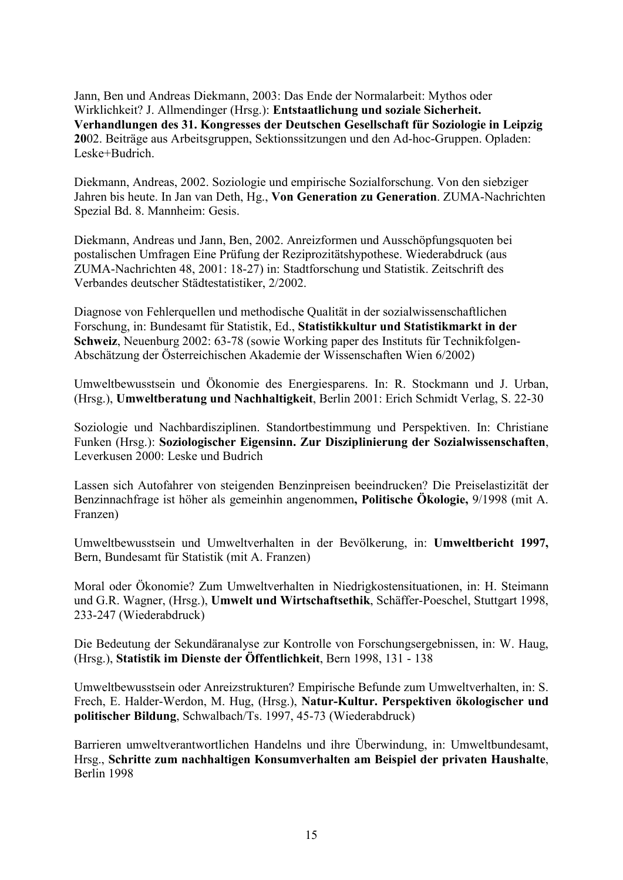Jann, Ben und Andreas Diekmann, 2003: Das Ende der Normalarbeit: Mythos oder Wirklichkeit? J. Allmendinger (Hrsg.): **Entstaatlichung und soziale Sicherheit. Verhandlungen des 31. Kongresses der Deutschen Gesellschaft für Soziologie in Leipzig 20**02. Beiträge aus Arbeitsgruppen, Sektionssitzungen und den Ad-hoc-Gruppen. Opladen: Leske+Budrich.

Diekmann, Andreas, 2002. Soziologie und empirische Sozialforschung. Von den siebziger Jahren bis heute. In Jan van Deth, Hg., **Von Generation zu Generation**. ZUMA-Nachrichten Spezial Bd. 8. Mannheim: Gesis.

Diekmann, Andreas und Jann, Ben, 2002. Anreizformen und Ausschöpfungsquoten bei postalischen Umfragen Eine Prüfung der Reziprozitätshypothese. Wiederabdruck (aus ZUMA-Nachrichten 48, 2001: 18-27) in: Stadtforschung und Statistik. Zeitschrift des Verbandes deutscher Städtestatistiker, 2/2002.

Diagnose von Fehlerquellen und methodische Qualität in der sozialwissenschaftlichen Forschung, in: Bundesamt für Statistik, Ed., **Statistikkultur und Statistikmarkt in der Schweiz**, Neuenburg 2002: 63-78 (sowie Working paper des Instituts für Technikfolgen-Abschätzung der Österreichischen Akademie der Wissenschaften Wien 6/2002)

Umweltbewusstsein und Ökonomie des Energiesparens. In: R. Stockmann und J. Urban, (Hrsg.), **Umweltberatung und Nachhaltigkeit**, Berlin 2001: Erich Schmidt Verlag, S. 22-30

Soziologie und Nachbardisziplinen. Standortbestimmung und Perspektiven. In: Christiane Funken (Hrsg.): **Soziologischer Eigensinn. Zur Disziplinierung der Sozialwissenschaften**, Leverkusen 2000: Leske und Budrich

Lassen sich Autofahrer von steigenden Benzinpreisen beeindrucken? Die Preiselastizität der Benzinnachfrage ist höher als gemeinhin angenommen**, Politische Ökologie,** 9/1998 (mit A. Franzen)

Umweltbewusstsein und Umweltverhalten in der Bevölkerung, in: **Umweltbericht 1997,**  Bern, Bundesamt für Statistik (mit A. Franzen)

Moral oder Ökonomie? Zum Umweltverhalten in Niedrigkostensituationen, in: H. Steimann und G.R. Wagner, (Hrsg.), **Umwelt und Wirtschaftsethik**, Schäffer-Poeschel, Stuttgart 1998, 233-247 (Wiederabdruck)

Die Bedeutung der Sekundäranalyse zur Kontrolle von Forschungsergebnissen, in: W. Haug, (Hrsg.), **Statistik im Dienste der Öffentlichkeit**, Bern 1998, 131 - 138

Umweltbewusstsein oder Anreizstrukturen? Empirische Befunde zum Umweltverhalten, in: S. Frech, E. Halder-Werdon, M. Hug, (Hrsg.), **Natur-Kultur. Perspektiven ökologischer und politischer Bildung**, Schwalbach/Ts. 1997, 45-73 (Wiederabdruck)

Barrieren umweltverantwortlichen Handelns und ihre Überwindung, in: Umweltbundesamt, Hrsg., **Schritte zum nachhaltigen Konsumverhalten am Beispiel der privaten Haushalte**, Berlin 1998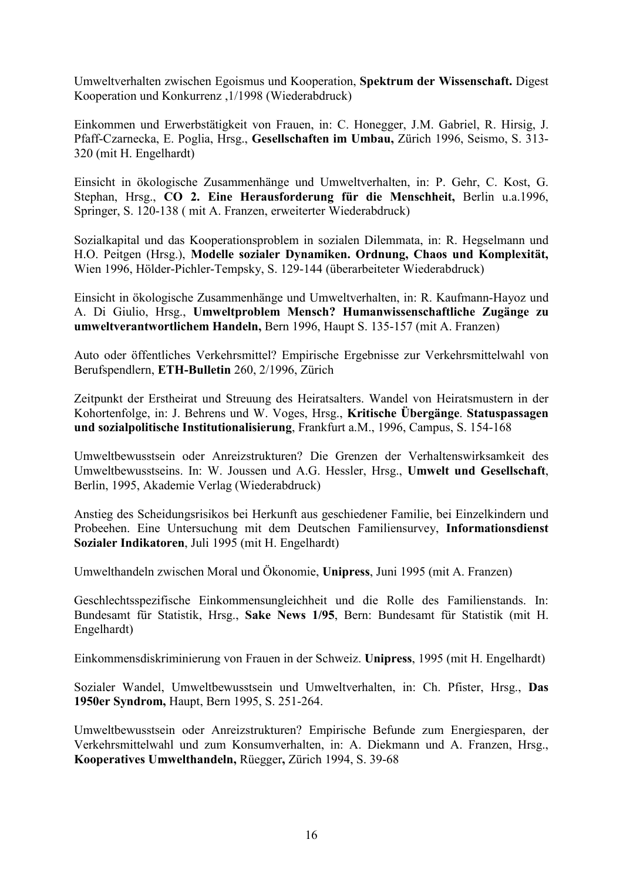Umweltverhalten zwischen Egoismus und Kooperation, **Spektrum der Wissenschaft.** Digest Kooperation und Konkurrenz ,1/1998 (Wiederabdruck)

Einkommen und Erwerbstätigkeit von Frauen, in: C. Honegger, J.M. Gabriel, R. Hirsig, J. Pfaff-Czarnecka, E. Poglia, Hrsg., **Gesellschaften im Umbau,** Zürich 1996, Seismo, S. 313- 320 (mit H. Engelhardt)

Einsicht in ökologische Zusammenhänge und Umweltverhalten, in: P. Gehr, C. Kost, G. Stephan, Hrsg., **CO 2. Eine Herausforderung für die Menschheit,** Berlin u.a.1996, Springer, S. 120-138 ( mit A. Franzen, erweiterter Wiederabdruck)

Sozialkapital und das Kooperationsproblem in sozialen Dilemmata, in: R. Hegselmann und H.O. Peitgen (Hrsg.), **Modelle sozialer Dynamiken. Ordnung, Chaos und Komplexität,**  Wien 1996, Hölder-Pichler-Tempsky, S. 129-144 (überarbeiteter Wiederabdruck)

Einsicht in ökologische Zusammenhänge und Umweltverhalten, in: R. Kaufmann-Hayoz und A. Di Giulio, Hrsg., **Umweltproblem Mensch? Humanwissenschaftliche Zugänge zu umweltverantwortlichem Handeln,** Bern 1996, Haupt S. 135-157 (mit A. Franzen)

Auto oder öffentliches Verkehrsmittel? Empirische Ergebnisse zur Verkehrsmittelwahl von Berufspendlern, **ETH-Bulletin** 260, 2/1996, Zürich

Zeitpunkt der Erstheirat und Streuung des Heiratsalters. Wandel von Heiratsmustern in der Kohortenfolge, in: J. Behrens und W. Voges, Hrsg., **Kritische Übergänge**. **Statuspassagen und sozialpolitische Institutionalisierung**, Frankfurt a.M., 1996, Campus, S. 154-168

Umweltbewusstsein oder Anreizstrukturen? Die Grenzen der Verhaltenswirksamkeit des Umweltbewusstseins. In: W. Joussen und A.G. Hessler, Hrsg., **Umwelt und Gesellschaft**, Berlin, 1995, Akademie Verlag (Wiederabdruck)

Anstieg des Scheidungsrisikos bei Herkunft aus geschiedener Familie, bei Einzelkindern und Probeehen. Eine Untersuchung mit dem Deutschen Familiensurvey, **Informationsdienst Sozialer Indikatoren**, Juli 1995 (mit H. Engelhardt)

Umwelthandeln zwischen Moral und Ökonomie, **Unipress**, Juni 1995 (mit A. Franzen)

Geschlechtsspezifische Einkommensungleichheit und die Rolle des Familienstands. In: Bundesamt für Statistik, Hrsg., **Sake News 1/95**, Bern: Bundesamt für Statistik (mit H. Engelhardt)

Einkommensdiskriminierung von Frauen in der Schweiz. **Unipress**, 1995 (mit H. Engelhardt)

Sozialer Wandel, Umweltbewusstsein und Umweltverhalten, in: Ch. Pfister, Hrsg., **Das 1950er Syndrom,** Haupt, Bern 1995, S. 251-264.

Umweltbewusstsein oder Anreizstrukturen? Empirische Befunde zum Energiesparen, der Verkehrsmittelwahl und zum Konsumverhalten, in: A. Diekmann und A. Franzen, Hrsg., **Kooperatives Umwelthandeln,** Rüegger**,** Zürich 1994, S. 39-68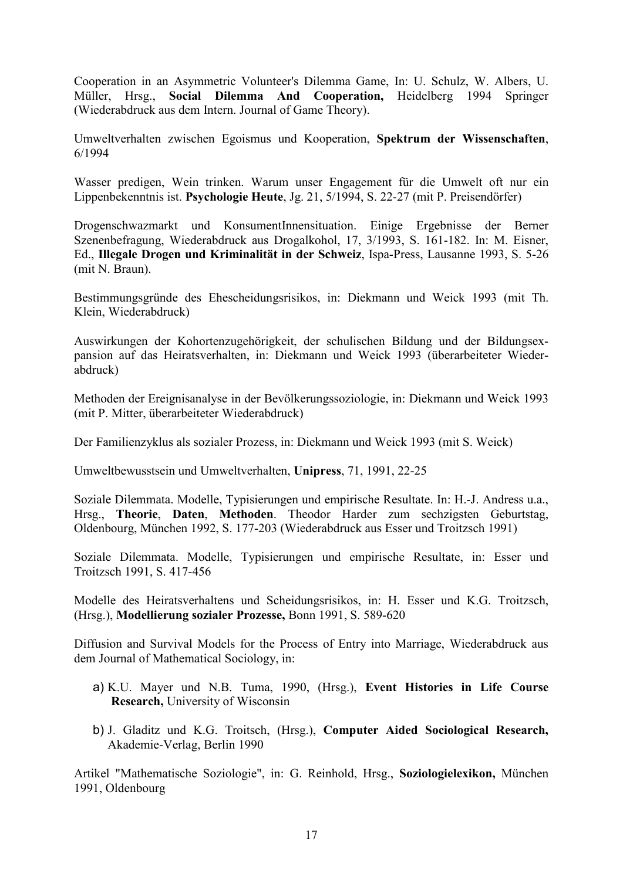Cooperation in an Asymmetric Volunteer's Dilemma Game, In: U. Schulz, W. Albers, U. Müller, Hrsg., **Social Dilemma And Cooperation,** Heidelberg 1994 Springer (Wiederabdruck aus dem Intern. Journal of Game Theory).

Umweltverhalten zwischen Egoismus und Kooperation, **Spektrum der Wissenschaften**, 6/1994

Wasser predigen, Wein trinken. Warum unser Engagement für die Umwelt oft nur ein Lippenbekenntnis ist. **Psychologie Heute**, Jg. 21, 5/1994, S. 22-27 (mit P. Preisendörfer)

Drogenschwazmarkt und KonsumentInnensituation. Einige Ergebnisse der Berner Szenenbefragung, Wiederabdruck aus Drogalkohol, 17, 3/1993, S. 161-182. In: M. Eisner, Ed., **Illegale Drogen und Kriminalität in der Schweiz**, Ispa-Press, Lausanne 1993, S. 5-26 (mit N. Braun).

Bestimmungsgründe des Ehescheidungsrisikos, in: Diekmann und Weick 1993 (mit Th. Klein, Wiederabdruck)

Auswirkungen der Kohortenzugehörigkeit, der schulischen Bildung und der Bildungsexpansion auf das Heiratsverhalten, in: Diekmann und Weick 1993 (überarbeiteter Wiederabdruck)

Methoden der Ereignisanalyse in der Bevölkerungssoziologie, in: Diekmann und Weick 1993 (mit P. Mitter, überarbeiteter Wiederabdruck)

Der Familienzyklus als sozialer Prozess, in: Diekmann und Weick 1993 (mit S. Weick)

Umweltbewusstsein und Umweltverhalten, **Unipress**, 71, 1991, 22-25

Soziale Dilemmata. Modelle, Typisierungen und empirische Resultate. In: H.-J. Andress u.a., Hrsg., **Theorie**, **Daten**, **Methoden**. Theodor Harder zum sechzigsten Geburtstag, Oldenbourg, München 1992, S. 177-203 (Wiederabdruck aus Esser und Troitzsch 1991)

Soziale Dilemmata. Modelle, Typisierungen und empirische Resultate, in: Esser und Troitzsch 1991, S. 417-456

Modelle des Heiratsverhaltens und Scheidungsrisikos, in: H. Esser und K.G. Troitzsch, (Hrsg.), **Modellierung sozialer Prozesse,** Bonn 1991, S. 589-620

Diffusion and Survival Models for the Process of Entry into Marriage, Wiederabdruck aus dem Journal of Mathematical Sociology, in:

- a) K.U. Mayer und N.B. Tuma, 1990, (Hrsg.), **Event Histories in Life Course Research,** University of Wisconsin
- b) J. Gladitz und K.G. Troitsch, (Hrsg.), **Computer Aided Sociological Research,**  Akademie-Verlag, Berlin 1990

Artikel "Mathematische Soziologie", in: G. Reinhold, Hrsg., **Soziologielexikon,** München 1991, Oldenbourg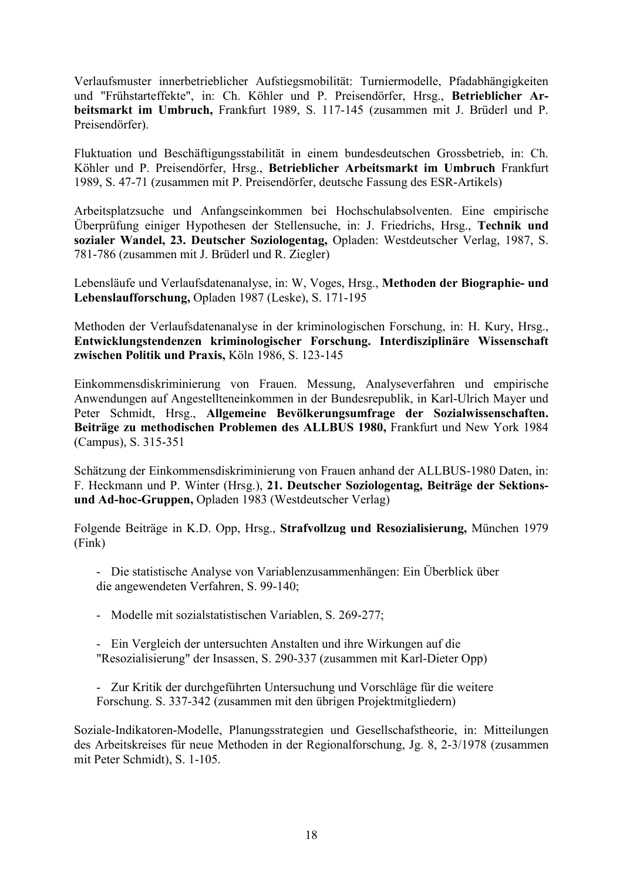Verlaufsmuster innerbetrieblicher Aufstiegsmobilität: Turniermodelle, Pfadabhängigkeiten und "Frühstarteffekte", in: Ch. Köhler und P. Preisendörfer, Hrsg., **Betrieblicher Arbeitsmarkt im Umbruch,** Frankfurt 1989, S. 117-145 (zusammen mit J. Brüderl und P. Preisendörfer).

Fluktuation und Beschäftigungsstabilität in einem bundesdeutschen Grossbetrieb, in: Ch. Köhler und P. Preisendörfer, Hrsg., **Betrieblicher Arbeitsmarkt im Umbruch** Frankfurt 1989, S. 47-71 (zusammen mit P. Preisendörfer, deutsche Fassung des ESR-Artikels)

Arbeitsplatzsuche und Anfangseinkommen bei Hochschulabsolventen. Eine empirische Überprüfung einiger Hypothesen der Stellensuche, in: J. Friedrichs, Hrsg., **Technik und sozialer Wandel, 23. Deutscher Soziologentag,** Opladen: Westdeutscher Verlag, 1987, S. 781-786 (zusammen mit J. Brüderl und R. Ziegler)

Lebensläufe und Verlaufsdatenanalyse, in: W, Voges, Hrsg., **Methoden der Biographie- und Lebenslaufforschung,** Opladen 1987 (Leske), S. 171-195

Methoden der Verlaufsdatenanalyse in der kriminologischen Forschung, in: H. Kury, Hrsg., **Entwicklungstendenzen kriminologischer Forschung. Interdisziplinäre Wissenschaft zwischen Politik und Praxis,** Köln 1986, S. 123-145

Einkommensdiskriminierung von Frauen. Messung, Analyseverfahren und empirische Anwendungen auf Angestellteneinkommen in der Bundesrepublik, in Karl-Ulrich Mayer und Peter Schmidt, Hrsg., **Allgemeine Bevölkerungsumfrage der Sozialwissenschaften. Beiträge zu methodischen Problemen des ALLBUS 1980,** Frankfurt und New York 1984 (Campus), S. 315-351

Schätzung der Einkommensdiskriminierung von Frauen anhand der ALLBUS-1980 Daten, in: F. Heckmann und P. Winter (Hrsg.), **21. Deutscher Soziologentag, Beiträge der Sektionsund Ad-hoc-Gruppen,** Opladen 1983 (Westdeutscher Verlag)

Folgende Beiträge in K.D. Opp, Hrsg., **Strafvollzug und Resozialisierung,** München 1979 (Fink)

- Die statistische Analyse von Variablenzusammenhängen: Ein Überblick über die angewendeten Verfahren, S. 99-140;

- Modelle mit sozialstatistischen Variablen, S. 269-277;

- Ein Vergleich der untersuchten Anstalten und ihre Wirkungen auf die "Resozialisierung" der Insassen, S. 290-337 (zusammen mit Karl-Dieter Opp)

- Zur Kritik der durchgeführten Untersuchung und Vorschläge für die weitere Forschung. S. 337-342 (zusammen mit den übrigen Projektmitgliedern)

Soziale-Indikatoren-Modelle, Planungsstrategien und Gesellschafstheorie, in: Mitteilungen des Arbeitskreises für neue Methoden in der Regionalforschung, Jg. 8, 2-3/1978 (zusammen mit Peter Schmidt), S. 1-105.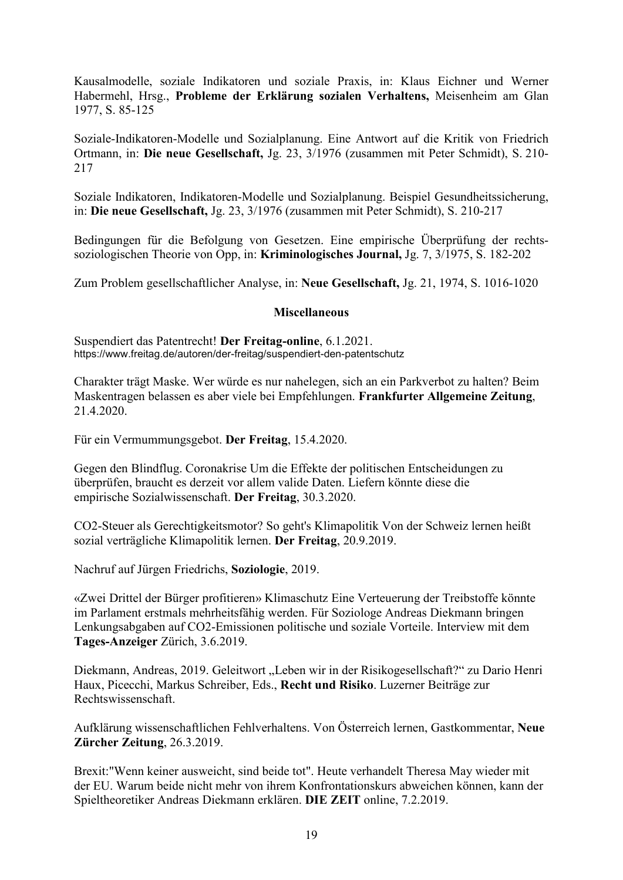Kausalmodelle, soziale Indikatoren und soziale Praxis, in: Klaus Eichner und Werner Habermehl, Hrsg., **Probleme der Erklärung sozialen Verhaltens,** Meisenheim am Glan 1977, S. 85-125

Soziale-Indikatoren-Modelle und Sozialplanung. Eine Antwort auf die Kritik von Friedrich Ortmann, in: **Die neue Gesellschaft,** Jg. 23, 3/1976 (zusammen mit Peter Schmidt), S. 210- 217

Soziale Indikatoren, Indikatoren-Modelle und Sozialplanung. Beispiel Gesundheitssicherung, in: **Die neue Gesellschaft,** Jg. 23, 3/1976 (zusammen mit Peter Schmidt), S. 210-217

Bedingungen für die Befolgung von Gesetzen. Eine empirische Überprüfung der rechtssoziologischen Theorie von Opp, in: **Kriminologisches Journal,** Jg. 7, 3/1975, S. 182-202

Zum Problem gesellschaftlicher Analyse, in: **Neue Gesellschaft,** Jg. 21, 1974, S. 1016-1020

#### **Miscellaneous**

Suspendiert das Patentrecht! **Der Freitag-online**, 6.1.2021. https://www.freitag.de/autoren/der-freitag/suspendiert-den-patentschutz

Charakter trägt Maske. Wer würde es nur nahelegen, sich an ein Parkverbot zu halten? Beim Maskentragen belassen es aber viele bei Empfehlungen. **Frankfurter Allgemeine Zeitung**, 21.4.2020.

Für ein Vermummungsgebot. **Der Freitag**, 15.4.2020.

Gegen den Blindflug. Coronakrise Um die Effekte der politischen Entscheidungen zu überprüfen, braucht es derzeit vor allem valide Daten. Liefern könnte diese die empirische Sozialwissenschaft. **Der Freitag**, 30.3.2020.

CO2-Steuer als Gerechtigkeitsmotor? So geht's Klimapolitik Von der Schweiz lernen heißt sozial verträgliche Klimapolitik lernen. **Der Freitag**, 20.9.2019.

Nachruf auf Jürgen Friedrichs, **Soziologie**, 2019.

«Zwei Drittel der Bürger profitieren» Klimaschutz Eine Verteuerung der Treibstoffe könnte im Parlament erstmals mehrheitsfähig werden. Für Soziologe Andreas Diekmann bringen Lenkungsabgaben auf CO2-Emissionen politische und soziale Vorteile. Interview mit dem **Tages-Anzeiger** Zürich, 3.6.2019.

Diekmann, Andreas, 2019. Geleitwort "Leben wir in der Risikogesellschaft?" zu Dario Henri Haux, Picecchi, Markus Schreiber, Eds., **Recht und Risiko**. Luzerner Beiträge zur Rechtswissenschaft.

Aufklärung wissenschaftlichen Fehlverhaltens. Von Österreich lernen, Gastkommentar, **Neue Zürcher Zeitung**, 26.3.2019.

Brexit:"Wenn keiner ausweicht, sind beide tot". Heute verhandelt Theresa May wieder mit der EU. Warum beide nicht mehr von ihrem Konfrontationskurs abweichen können, kann der Spieltheoretiker Andreas Diekmann erklären. **DIE ZEIT** online, 7.2.2019.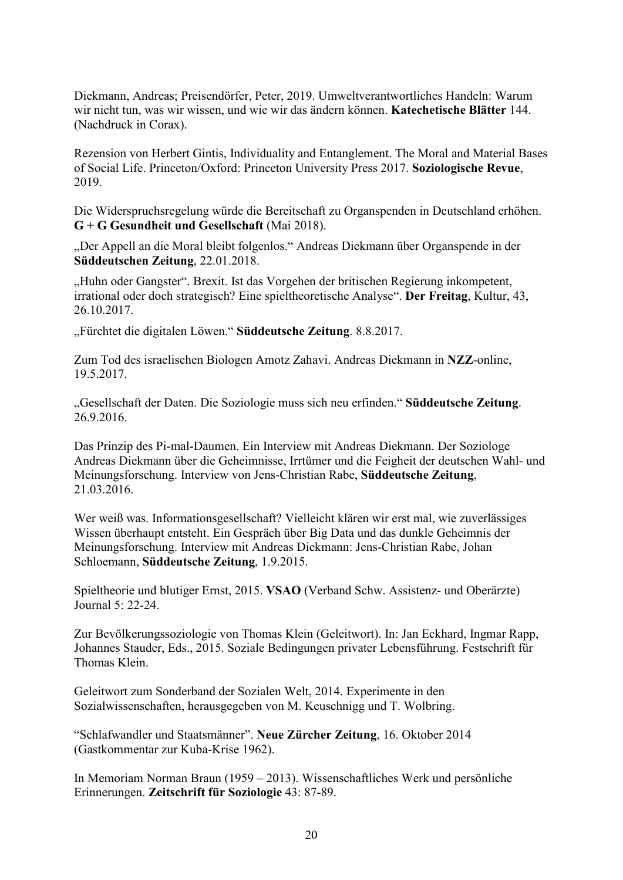Diekmann, Andreas; Preisendörfer, Peter, 2019. Umweltverantwortliches Handeln: Warum wir nicht tun, was wir wissen, und wie wir das ändern können. **Katechetische Blätter** 144. (Nachdruck in Corax).

Rezension von Herbert Gintis, Individuality and Entanglement. The Moral and Material Bases of Social Life. Princeton/Oxford: Princeton University Press 2017. **Soziologische Revue**, 2019.

Die Widerspruchsregelung würde die Bereitschaft zu Organspenden in Deutschland erhöhen. **G + G Gesundheit und Gesellschaft** (Mai 2018).

"Der Appell an die Moral bleibt folgenlos." Andreas Diekmann über Organspende in der **Süddeutschen Zeitung**, 22.01.2018.

"Huhn oder Gangster". Brexit. Ist das Vorgehen der britischen Regierung inkompetent, irrational oder doch strategisch? Eine spieltheoretische Analyse". **Der Freitag**, Kultur, 43, 26.10.2017.

"Fürchtet die digitalen Löwen." **Süddeutsche Zeitung**. 8.8.2017.

Zum Tod des israelischen Biologen Amotz Zahavi. Andreas Diekmann in **NZZ**-online, 19.5.2017.

"Gesellschaft der Daten. Die Soziologie muss sich neu erfinden." **Süddeutsche Zeitung**. 26.9.2016.

Das Prinzip des Pi-mal-Daumen. Ein Interview mit Andreas Diekmann. Der Soziologe Andreas Diekmann über die Geheimnisse, Irrtümer und die Feigheit der deutschen Wahl- und Meinungsforschung. Interview von Jens-Christian Rabe, **Süddeutsche Zeitung**, 21.03.2016.

Wer weiß was. Informationsgesellschaft? Vielleicht klären wir erst mal, wie zuverlässiges Wissen überhaupt entsteht. Ein Gespräch über Big Data und das dunkle Geheimnis der Meinungsforschung. Interview mit Andreas Diekmann: Jens-Christian Rabe, Johan Schloemann, **Süddeutsche Zeitung**, 1.9.2015.

Spieltheorie und blutiger Ernst, 2015. **VSAO** (Verband Schw. Assistenz- und Oberärzte) Journal 5: 22-24.

Zur Bevölkerungssoziologie von Thomas Klein (Geleitwort). In: Jan Eckhard, Ingmar Rapp, Johannes Stauder, Eds., 2015. Soziale Bedingungen privater Lebensführung. Festschrift für Thomas Klein.

Geleitwort zum Sonderband der Sozialen Welt, 2014. Experimente in den Sozialwissenschaften, herausgegeben von M. Keuschnigg und T. Wolbring.

"Schlafwandler und Staatsmänner". **Neue Zürcher Zeitung**, 16. Oktober 2014 (Gastkommentar zur Kuba-Krise 1962).

In Memoriam Norman Braun (1959 – 2013). Wissenschaftliches Werk und persönliche Erinnerungen. **Zeitschrift für Soziologie** 43: 87-89.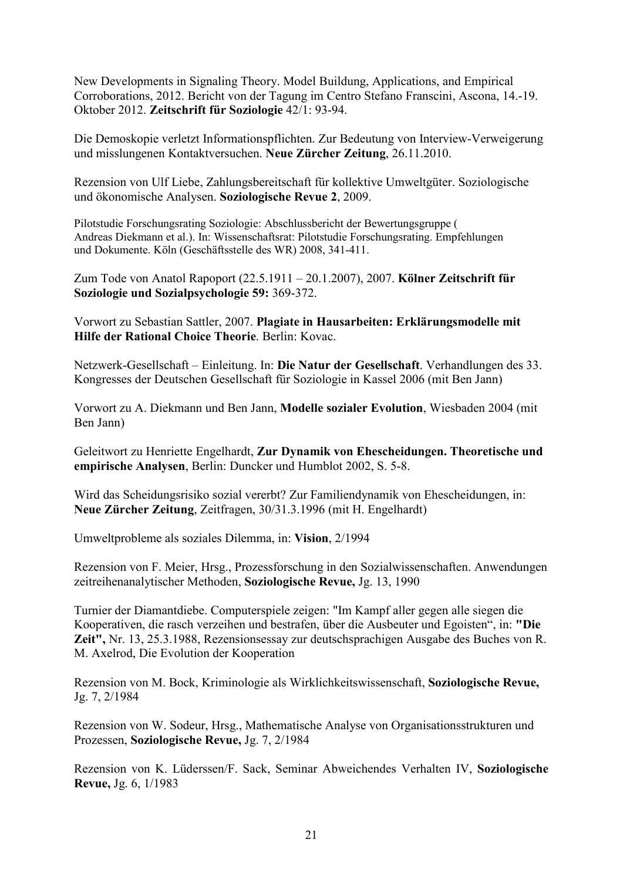New Developments in Signaling Theory. Model Buildung, Applications, and Empirical Corroborations, 2012. Bericht von der Tagung im Centro Stefano Franscini, Ascona, 14.-19. Oktober 2012. **Zeitschrift für Soziologie** 42/1: 93-94.

Die Demoskopie verletzt Informationspflichten. Zur Bedeutung von Interview-Verweigerung und misslungenen Kontaktversuchen. **Neue Zürcher Zeitung**, 26.11.2010.

Rezension von Ulf Liebe, Zahlungsbereitschaft für kollektive Umweltgüter. Soziologische und ökonomische Analysen. **Soziologische Revue 2**, 2009.

Pilotstudie Forschungsrating Soziologie: Abschlussbericht der Bewertungsgruppe ( Andreas Diekmann et al.). In: Wissenschaftsrat: Pilotstudie Forschungsrating. Empfehlungen und Dokumente. Köln (Geschäftsstelle des WR) 2008, 341-411.

Zum Tode von Anatol Rapoport (22.5.1911 – 20.1.2007), 2007. **Kölner Zeitschrift für Soziologie und Sozialpsychologie 59:** 369-372.

Vorwort zu Sebastian Sattler, 2007. **Plagiate in Hausarbeiten: Erklärungsmodelle mit Hilfe der Rational Choice Theorie**. Berlin: Kovac.

Netzwerk-Gesellschaft – Einleitung. In: **Die Natur der Gesellschaft**. Verhandlungen des 33. Kongresses der Deutschen Gesellschaft für Soziologie in Kassel 2006 (mit Ben Jann)

Vorwort zu A. Diekmann und Ben Jann, **Modelle sozialer Evolution**, Wiesbaden 2004 (mit Ben Jann)

Geleitwort zu Henriette Engelhardt, **Zur Dynamik von Ehescheidungen. Theoretische und empirische Analysen**, Berlin: Duncker und Humblot 2002, S. 5-8.

Wird das Scheidungsrisiko sozial vererbt? Zur Familiendynamik von Ehescheidungen, in: **Neue Zürcher Zeitung**, Zeitfragen, 30/31.3.1996 (mit H. Engelhardt)

Umweltprobleme als soziales Dilemma, in: **Vision**, 2/1994

Rezension von F. Meier, Hrsg., Prozessforschung in den Sozialwissenschaften. Anwendungen zeitreihenanalytischer Methoden, **Soziologische Revue,** Jg. 13, 1990

Turnier der Diamantdiebe. Computerspiele zeigen: "Im Kampf aller gegen alle siegen die Kooperativen, die rasch verzeihen und bestrafen, über die Ausbeuter und Egoisten", in: **"Die Zeit",** Nr. 13, 25.3.1988, Rezensionsessay zur deutschsprachigen Ausgabe des Buches von R. M. Axelrod, Die Evolution der Kooperation

Rezension von M. Bock, Kriminologie als Wirklichkeitswissenschaft, **Soziologische Revue,**  Jg. 7, 2/1984

Rezension von W. Sodeur, Hrsg., Mathematische Analyse von Organisationsstrukturen und Prozessen, **Soziologische Revue,** Jg. 7, 2/1984

Rezension von K. Lüderssen/F. Sack, Seminar Abweichendes Verhalten IV, **Soziologische Revue,** Jg. 6, 1/1983